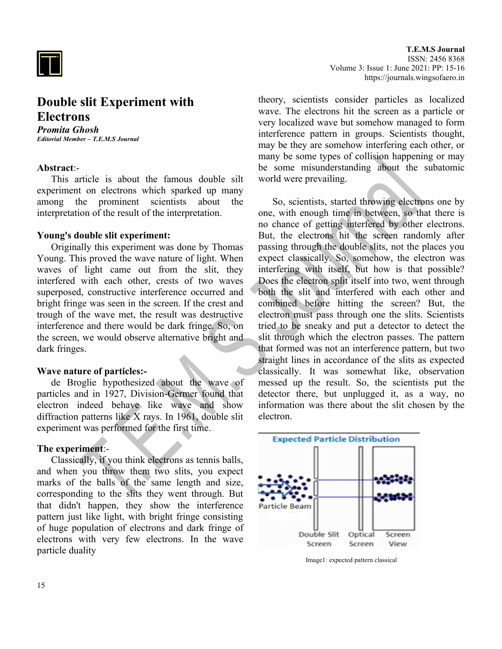

# **Double slit Experiment with Electrons**

*Promita Ghosh Editorial Member – T.E.M.S Journal*

# **Abstract**:-

This article is about the famous double silt experiment on electrons which sparked up many among the prominent scientists about the interpretation of the result of the interpretation.

#### **Young's double slit experiment:**

Originally this experiment was done by Thomas Young. This proved the wave nature of light. When waves of light came out from the slit, they interfered with each other, crests of two waves superposed, constructive interference occurred and bright fringe was seen in the screen. If the crest and trough of the wave met, the result was destructive interference and there would be dark fringe. So, on the screen, we would observe alternative bright and dark fringes.

### **Wave nature of particles:-**

de Broglie hypothesized about the wave of particles and in 1927, Division-Germer found that electron indeed behave like wave and show diffraction patterns like  $\bar{X}$  rays. In 1961, double slit experiment was performed for the first time.

#### **The experiment**:-

Classically, if you think electrons as tennis balls, and when you throw them two slits, you expect marks of the balls of the same length and size, corresponding to the slits they went through. But that didn't happen, they show the interference pattern just like light, with bright fringe consisting of huge population of electrons and dark fringe of electrons with very few electrons. In the wave particle duality

theory, scientists consider particles as localized wave. The electrons hit the screen as a particle or very localized wave but somehow managed to form interference pattern in groups. Scientists thought, may be they are somehow interfering each other, or many be some types of collision happening or may be some misunderstanding about the subatomic world were prevailing.

So, scientists, started throwing electrons one by one, with enough time in between, so that there is no chance of getting interfered by other electrons. But, the electrons hit the screen randomly after passing through the double slits, not the places you expect classically. So, somehow, the electron was interfering with itself, but how is that possible? Does the electron split itself into two, went through both the slit and interfered with each other and combined before hitting the screen? But, the electron must pass through one the slits. Scientists tried to be sneaky and put a detector to detect the slit through which the electron passes. The pattern that formed was not an interference pattern, but two straight lines in accordance of the slits as expected classically. It was somewhat like, observation messed up the result. So, the scientists put the detector there, but unplugged it, as a way, no information was there about the slit chosen by the electron.



Image1: expected pattern classical